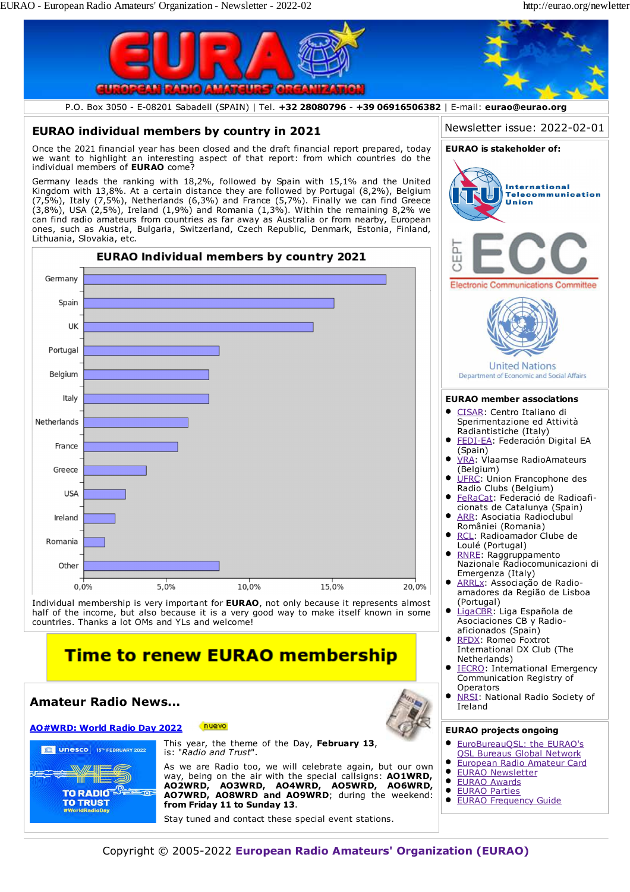